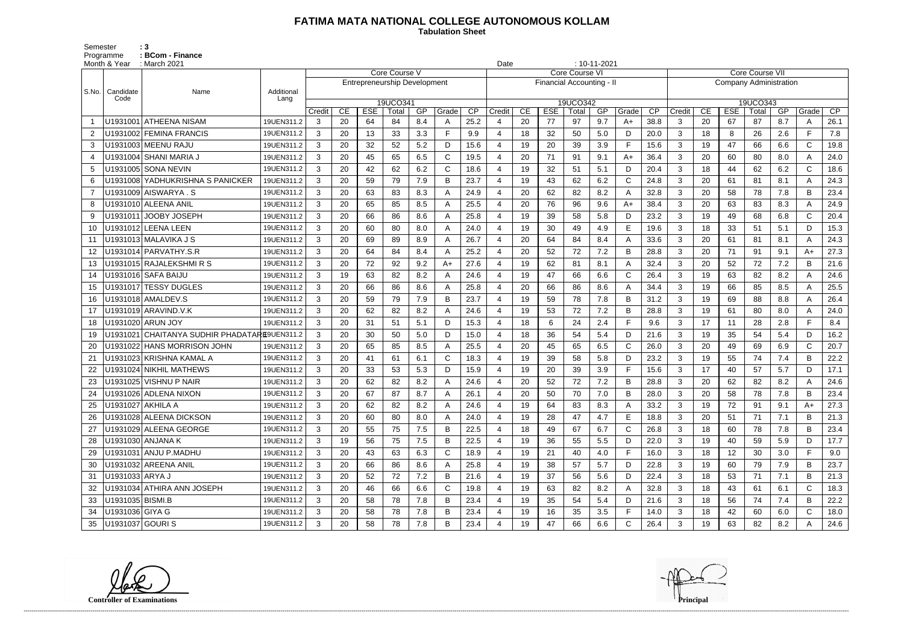## **FATIMA MATA NATIONAL COLLEGE AUTONOMOUS KOLLAM**

 **Tabulation Sheet** 

Semester : 3 Programme : **BCom - Finance** 

|                | Month & Year      | $: 10 - 11 - 2021$<br>: March 2021<br>Date   |                    |        |    |                                     |                   |     |              |      |                       |    |                           |                   |     |                |      |                               |                 |            |                   |     |              |                 |  |
|----------------|-------------------|----------------------------------------------|--------------------|--------|----|-------------------------------------|-------------------|-----|--------------|------|-----------------------|----|---------------------------|-------------------|-----|----------------|------|-------------------------------|-----------------|------------|-------------------|-----|--------------|-----------------|--|
|                |                   |                                              |                    |        |    |                                     | Core Course V     |     |              |      | <b>Core Course VI</b> |    |                           |                   |     |                |      |                               | Core Course VII |            |                   |     |              |                 |  |
|                |                   |                                              |                    |        |    | <b>Entrepreneurship Development</b> |                   |     |              |      |                       |    | Financial Accounting - II |                   |     |                |      | <b>Company Administration</b> |                 |            |                   |     |              |                 |  |
| S.No.          | Candidate<br>Code | Name                                         | Additional<br>Lang |        |    |                                     |                   |     |              |      |                       |    |                           |                   |     |                |      |                               |                 |            |                   |     |              |                 |  |
|                |                   |                                              |                    | Credit | CE | <b>ESE</b>                          | 19UCO341<br>Total | GP  | Grade        | CP   | Credit                | CE | <b>ESE</b>                | 19UCO342<br>Total | GP  | Grade          | CP   | Credit                        | CE              | <b>ESE</b> | 19UCO343<br>Total | GP  | Grade        | $\overline{CP}$ |  |
|                |                   | U1931001 ATHEENA NISAM                       | 19UEN311.2         | 3      | 20 | 64                                  | 84                | 8.4 | A            | 25.2 |                       | 20 | 77                        | 97                | 9.7 | $A+$           | 38.8 | 3                             | 20              | 67         | 87                | 8.7 | A            | 26.1            |  |
| $\overline{2}$ |                   | U1931002 FEMINA FRANCIS                      | 19UEN311.2         | 3      | 20 | 13                                  | 33                | 3.3 | E            | 9.9  | $\boldsymbol{\Delta}$ | 18 | 32                        | 50                | 5.0 | D              | 20.0 | 3                             | 18              | 8          | 26                | 2.6 | F            | 7.8             |  |
| 3              |                   | U1931003 MEENU RAJU                          | 19UEN311.2         | 3      | 20 | 32                                  | 52                | 5.2 | D            | 15.6 | $\overline{4}$        | 19 | 20                        | 39                | 3.9 | $\mathsf F$    | 15.6 | 3                             | 19              | 47         | 66                | 6.6 | $\mathsf{C}$ | 19.8            |  |
| 4              |                   | U1931004 SHANI MARIA J                       | 19UEN311.2         | 3      | 20 | 45                                  | 65                | 6.5 | $\mathsf{C}$ | 19.5 |                       | 20 | 71                        | 91                | 9.1 | $A+$           | 36.4 | 3                             | 20              | 60         | 80                | 8.0 | A            | 24.0            |  |
| 5              |                   | U1931005 SONA NEVIN                          | 19UEN311.2         | 3      | 20 | 42                                  | 62                | 6.2 | $\mathsf{C}$ | 18.6 | $\overline{4}$        | 19 | 32                        | 51                | 5.1 | D              | 20.4 | 3                             | 18              | 44         | 62                | 6.2 | $\mathsf{C}$ | 18.6            |  |
| 6              |                   | U1931008 YADHUKRISHNA S PANICKER             | 19UEN311.2         | 3      | 20 | 59                                  | 79                | 7.9 | В            | 23.7 |                       | 19 | 43                        | 62                | 6.2 | $\mathsf{C}$   | 24.8 | 3                             | 20              | 61         | 81                | 8.1 | A            | 24.3            |  |
| $\overline{7}$ |                   |                                              | 19UEN311.2         | 3      | 20 | 63                                  | 83                | 8.3 |              | 24.9 | $\overline{A}$        | 20 | 62                        | 82                | 8.2 | $\mathsf{A}$   | 32.8 | 3                             | 20              | 58         | 78                | 7.8 | B            | 23.4            |  |
| 8              |                   | U1931010 ALEENA ANIL                         | 19UEN311.2         | 3      | 20 | 65                                  | 85                | 8.5 | А            | 25.5 | 4                     | 20 | 76                        | 96                | 9.6 | $A+$           | 38.4 | 3                             | 20              | 63         | 83                | 8.3 | A            | 24.9            |  |
| 9              |                   | U1931011 JOOBY JOSEPH                        | 19UEN311.2         | 3      | 20 | 66                                  | 86                | 8.6 | Α            | 25.8 |                       | 19 | 39                        | 58                | 5.8 | D              | 23.2 | 3                             | 19              | 49         | 68                | 6.8 | $\mathsf{C}$ | 20.4            |  |
| 10             |                   | U1931012 LEENA LEEN                          | 19UEN311.2         | 3      | 20 | 60                                  | 80                | 8.0 | A            | 24.0 | $\overline{4}$        | 19 | 30                        | 49                | 4.9 | Е              | 19.6 | 3                             | 18              | 33         | 51                | 5.1 | D            | 15.3            |  |
| 11             |                   | U1931013 MALAVIKA J S                        | 19UEN311.2         | 3      | 20 | 69                                  | 89                | 8.9 |              | 26.7 |                       | 20 | 64                        | 84                | 8.4 | $\mathsf{A}$   | 33.6 | 3                             | 20              | 61         | 81                | 8.1 | A            | 24.3            |  |
| 12             |                   | U1931014 PARVATHY.S.R                        | 19UEN311.2         | 3      | 20 | 64                                  | 84                | 8.4 |              | 25.2 |                       | 20 | 52                        | 72                | 7.2 | B              | 28.8 | 3                             | 20              | 71         | 91                | 9.1 | A+           | 27.3            |  |
| 13             |                   | U1931015 RAJALEKSHMIRS                       | 19UEN311.2         | 3      | 20 | 72                                  | 92                | 9.2 | $A+$         | 27.6 | 4                     | 19 | 62                        | 81                | 8.1 | $\mathsf{A}$   | 32.4 | 3                             | 20              | 52         | 72                | 7.2 | B            | 21.6            |  |
| 14             |                   | U1931016 SAFA BAIJU                          | 19UEN311.2         | 3      | 19 | 63                                  | 82                | 8.2 | A            | 24.6 | 4                     | 19 | 47                        | 66                | 6.6 | $\mathsf{C}$   | 26.4 | 3                             | 19              | 63         | 82                | 8.2 | A            | 24.6            |  |
| 15             |                   | U1931017 TESSY DUGLES                        | 19UEN311.2         | 3      | 20 | 66                                  | 86                | 8.6 | А            | 25.8 | $\overline{4}$        | 20 | 66                        | 86                | 8.6 | $\overline{A}$ | 34.4 | 3                             | 19              | 66         | 85                | 8.5 | A            | 25.5            |  |
| 16             |                   | U1931018 AMALDEV.S                           | 19UEN311.2         | 3      | 20 | 59                                  | 79                | 7.9 | B            | 23.7 |                       | 19 | 59                        | 78                | 7.8 | B              | 31.2 | 3                             | 19              | 69         | 88                | 8.8 | A            | 26.4            |  |
| 17             |                   | U1931019 ARAVIND.V.K                         | 19UEN311.2         | 3      | 20 | 62                                  | 82                | 8.2 | Α            | 24.6 | $\overline{A}$        | 19 | 53                        | 72                | 7.2 | B              | 28.8 | 3                             | 19              | 61         | 80                | 8.0 | A            | 24.0            |  |
| 18             |                   | U1931020 ARUN JOY                            | 19UEN311.2         | 3      | 20 | 31                                  | 51                | 5.1 | D            | 15.3 | 4                     | 18 | 6                         | 24                | 2.4 | E              | 9.6  | 3                             | 17              | 11         | 28                | 2.8 | F.           | 8.4             |  |
| 19             |                   | U1931021 CHAITANYA SUDHIR PHADATARE9UEN311.2 |                    | 3      | 20 | 30                                  | 50                | 5.0 | D            | 15.0 |                       | 18 | 36                        | 54                | 5.4 | D              | 21.6 | 3                             | 19              | 35         | 54                | 5.4 | D            | 16.2            |  |
| 20             |                   | U1931022 HANS MORRISON JOHN                  | 19UEN311.2         | 3      | 20 | 65                                  | 85                | 8.5 | Α            | 25.5 | $\overline{4}$        | 20 | 45                        | 65                | 6.5 | $\mathsf{C}$   | 26.0 | 3                             | 20              | 49         | 69                | 6.9 | $\mathsf{C}$ | 20.7            |  |
| 21             |                   | U1931023 KRISHNA KAMAL A                     | 19UEN311.2         | 3      | 20 | 41                                  | 61                | 6.1 | C            | 18.3 |                       | 19 | 39                        | 58                | 5.8 | D              | 23.2 | 3                             | 19              | 55         | 74                | 7.4 | B            | 22.2            |  |
| 22             |                   | U1931024 NIKHIL MATHEWS                      | 19UEN311.2         | 3      | 20 | 33                                  | 53                | 5.3 | D            | 15.9 |                       | 19 | 20                        | 39                | 3.9 | F              | 15.6 | 3                             | 17              | 40         | 57                | 5.7 | D            | 17.1            |  |
| 23             |                   | U1931025 VISHNU P NAIR                       | 19UEN311.2         | 3      | 20 | 62                                  | 82                | 8.2 | А            | 24.6 | 4                     | 20 | 52                        | 72                | 7.2 | B              | 28.8 | 3                             | 20              | 62         | 82                | 8.2 | A            | 24.6            |  |
| 24             |                   | U1931026 ADLENA NIXON                        | 19UEN311.2         | 3      | 20 | 67                                  | 87                | 8.7 |              | 26.1 |                       | 20 | 50                        | 70                | 7.0 | $\mathsf B$    | 28.0 | 3                             | 20              | 58         | 78                | 7.8 | B            | 23.4            |  |
| 25             | U1931027 AKHILA A |                                              | 19UEN311.2         | 3      | 20 | 62                                  | 82                | 8.2 | A            | 24.6 | 4                     | 19 | 64                        | 83                | 8.3 | A              | 33.2 | 3                             | 19              | 72         | 91                | 9.1 | A+           | 27.3            |  |
|                |                   | U1931028 ALEENA DICKSON                      | 19UEN311.2         | 3      | 20 | 60                                  | 80                | 8.0 |              | 24.0 |                       | 19 | 28                        | 47                | 4.7 | E              | 18.8 | 3                             | 20              | 51         | 71                | 7.1 | B            | 21.3            |  |
| 27             |                   | U1931029 ALEENA GEORGE                       | 19UEN311.2         | 3      | 20 | 55                                  | 75                | 7.5 | В            | 22.5 | $\overline{4}$        | 18 | 49                        | 67                | 6.7 | $\mathsf{C}$   | 26.8 | 3                             | 18              | 60         | 78                | 7.8 | B            | 23.4            |  |
| 28             |                   | U1931030 ANJANA K                            | 19UEN311.2         | 3      | 19 | 56                                  | 75                | 7.5 | B            | 22.5 | 4                     | 19 | 36                        | 55                | 5.5 | D              | 22.0 | 3                             | 19              | 40         | 59                | 5.9 | D            | 17.7            |  |
| 29             |                   | U1931031 ANJU P.MADHU                        | 19UEN311.2         | 3      | 20 | 43                                  | 63                | 6.3 | C            | 18.9 |                       | 19 | 21                        | 40                | 4.0 | $\mathsf F$    | 16.0 | $\mathbf{3}$                  | 18              | 12         | 30                | 3.0 | F            | 9.0             |  |
| 30             |                   | U1931032 AREENA ANIL                         | 19UEN311.2         | 3      | 20 | 66                                  | 86                | 8.6 |              | 25.8 | 4                     | 19 | 38                        | 57                | 5.7 | D              | 22.8 | 3                             | 19              | 60         | 79                | 7.9 | B            | 23.7            |  |
| 31             | U1931033 ARYA J   |                                              | 19UEN311.2         | 3      | 20 | 52                                  | 72                | 7.2 | B            | 21.6 |                       | 19 | 37                        | 56                | 5.6 | D              | 22.4 | $\mathbf{3}$                  | 18              | 53         | 71                | 7.1 | B            | 21.3            |  |
| 32             |                   | U1931034 ATHIRA ANN JOSEPH                   | 19UEN311.2         | 3      | 20 | 46                                  | 66                | 6.6 | C            | 19.8 | 4                     | 19 | 63                        | 82                | 8.2 | A              | 32.8 | 3                             | 18              | 43         | 61                | 6.1 | C            | 18.3            |  |
| 33             | U1931035 BISMI.B  |                                              | 19UEN311.2         | 3      | 20 | 58                                  | 78                | 7.8 | В            | 23.4 | 4                     | 19 | 35                        | 54                | 5.4 | D              | 21.6 | 3                             | 18              | 56         | 74                | 7.4 | B            | 22.2            |  |
| 34             | U1931036 GIYA G   |                                              | 19UEN311.2         | 3      | 20 | 58                                  | 78                | 7.8 | В            | 23.4 |                       | 19 | 16                        | 35                | 3.5 | $\mathsf F$    | 14.0 | 3                             | 18              | 42         | 60                | 6.0 | $\mathsf{C}$ | 18.0            |  |
| 35             | U1931037 GOURI S  |                                              | 19UEN311.2         | 3      | 20 | 58                                  | 78                | 7.8 | B            | 23.4 |                       | 19 | 47                        | 66                | 6.6 | $\mathsf C$    | 26.4 | $\mathbf{3}$                  | 19              | 63         | 82                | 8.2 | Α            | 24.6            |  |

**Controller of Examinations**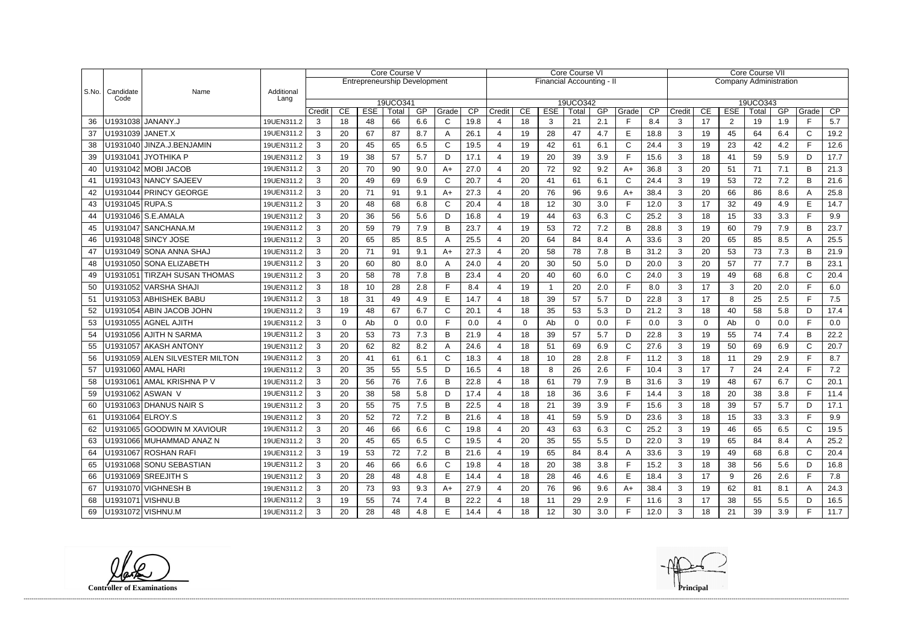|               |                          |                                   |                    | Core Course V<br><b>Entrepreneurship Development</b> |          |                  |             |           |                       |            |                           | Core Course VI |                 |             |           |              |           |                   | Core Course VII               |                              |             |           |              |           |  |
|---------------|--------------------------|-----------------------------------|--------------------|------------------------------------------------------|----------|------------------|-------------|-----------|-----------------------|------------|---------------------------|----------------|-----------------|-------------|-----------|--------------|-----------|-------------------|-------------------------------|------------------------------|-------------|-----------|--------------|-----------|--|
|               |                          |                                   |                    |                                                      |          |                  |             |           |                       |            | Financial Accounting - II |                |                 |             |           |              |           |                   | <b>Company Administration</b> |                              |             |           |              |           |  |
| $ $ S.No. $ $ | Candidate<br>Code        | Name                              | Additional<br>Lang |                                                      |          |                  |             |           |                       |            |                           |                |                 |             |           |              |           |                   |                               |                              |             |           |              |           |  |
|               |                          |                                   |                    |                                                      |          |                  | 19UCO341    |           |                       |            |                           |                |                 | 19UCO342    |           |              |           |                   |                               |                              | 19UCO343    |           |              |           |  |
| 36            |                          | U1931038   JANANY.J               | 19UEN311.2         | Credit<br>3                                          | CE<br>18 | <b>ESE</b><br>48 | Total<br>66 | GP<br>6.6 | Grade<br>$\mathsf{C}$ | CP<br>19.8 | Credit                    | CE<br>18       | <b>ESE</b><br>3 | Total<br>21 | GP<br>2.1 | Grade<br>F   | CP<br>8.4 | Credit<br>3       | CE<br>17                      | <b>ESE</b><br>$\overline{2}$ | Total<br>19 | GP<br>1.9 | Grade<br>F   | CP<br>5.7 |  |
| 37            | U1931039 JANET.X         |                                   | 19UEN311.2         | 3                                                    | 20       | 67               | 87          | 8.7       | Α                     | 26.1       | 4                         | 19             | 28              | 47          | 4.7       | E            | 18.8      | 3                 | 19                            | 45                           | 64          | 6.4       | $\mathsf{C}$ | 19.2      |  |
|               |                          | U1931040 JINZA.J.BENJAMIN         |                    |                                                      |          |                  |             |           |                       |            | $\overline{4}$            |                |                 |             |           | $\mathsf C$  | 24.4      |                   |                               |                              |             |           | F.           |           |  |
| 38            |                          |                                   | 19UEN311.2         | 3                                                    | 20       | 45               | 65          | 6.5       | С                     | 19.5       |                           | 19             | 42              | 61          | 6.1       | F            |           | 3                 | 19                            | 23                           | 42          | 4.2       |              | 12.6      |  |
| 39            |                          | U1931041│JYOTHIKA P               | 19UEN311.2         | 3                                                    | 19       | 38               | 57          | 5.7       | D                     | 17.1       |                           | 19             | 20              | 39          | 3.9       |              | 15.6      | 3                 | 18                            | 41                           | 59          | 5.9       | D            | 17.7      |  |
| 40            |                          | U1931042 MOBI JACOB               | 19UEN311.2         | 3                                                    | 20       | 70               | 90          | 9.0       | $A+$                  | 27.0       |                           | 20             | 72              | 92          | 9.2       | $A+$         | 36.8      | 3                 | 20                            | 51                           | 71          | 7.1       | B            | 21.3      |  |
| 41            |                          | U1931043 NANCY SAJEEV             | 19UEN311.2         | 3                                                    | 20       | 49               | 69          | 6.9       | С                     | 20.7       |                           | 20             | 41              | 61          | 6.1       | $\mathsf{C}$ | 24.4      | 3                 | 19                            | 53                           | 72          | 7.2       | B            | 21.6      |  |
| 42            |                          | U1931044 PRINCY GEORGE            | 19UEN311.2         | 3                                                    | 20       | 71               | 91          | 9.1       | A+                    | 27.3       |                           | 20             | 76              | 96          | 9.6       | $A+$         | 38.4      | 3                 | 20                            | 66                           | 86          | 8.6       | A            | 25.8      |  |
| 43            | U1931045 RUPA.S          |                                   | 19UEN311.2         | 3                                                    | 20       | 48               | 68          | 6.8       | C.                    | 20.4       | 4                         | 18             | 12              | 30          | 3.0       | F            | 12.0      | 3                 | 17                            | 32                           | 49          | 4.9       | E            | 14.7      |  |
| 44            |                          | U1931046 S.E.AMALA                | 19UEN311.2         | 3                                                    | 20       | 36               | 56          | 5.6       | D                     | 16.8       |                           | 19             | 44              | 63          | 6.3       | $\mathsf{C}$ | 25.2      | 3                 | 18                            | 15                           | 33          | 3.3       | Е            | 9.9       |  |
| 45            |                          | U1931047 SANCHANA.M               | 19UEN311.2         | 3                                                    | 20       | 59               | 79          | 7.9       | B                     | 23.7       |                           | 19             | 53              | 72          | 7.2       | B            | 28.8      | 3                 | 19                            | 60                           | 79          | 7.9       | B            | 23.7      |  |
| 46            |                          | U1931048 SINCY JOSE               | 19UEN311.2         | 3                                                    | 20       | 65               | 85          | 8.5       |                       | 25.5       |                           | 20             | 64              | 84          | 8.4       | A            | 33.6      | 3                 | 20                            | 65                           | 85          | 8.5       | A            | 25.5      |  |
| 47            |                          | U1931049 SONA ANNA SHAJ           | 19UEN311.2         | 3                                                    | 20       | 71               | 91          | 9.1       | A+                    | 27.3       |                           | 20             | 58              | 78          | 7.8       | B            | 31.2      | 3                 | 20                            | 53                           | 73          | 7.3       | B            | 21.9      |  |
| 48            |                          | U1931050 SONA ELIZABETH           | 19UEN311.2         | 3                                                    | 20       | 60               | 80          | 8.0       | A                     | 24.0       |                           | 20             | 30              | 50          | 5.0       | D            | 20.0      | 3                 | 20                            | 57                           | 77          | 7.7       | B            | 23.1      |  |
| 49            |                          | U1931051 TIRZAH SUSAN THOMAS      | 19UEN311.2         | 3                                                    | 20       | 58               | 78          | 7.8       | B                     | 23.4       |                           | 20             | 40              | 60          | 6.0       | $\mathsf C$  | 24.0      | 3                 | 19                            | 49                           | 68          | 6.8       | $\mathsf{C}$ | 20.4      |  |
| 50            |                          | U1931052 VARSHA SHAJI             | 19UEN311.2         | 3                                                    | 18       | 10               | 28          | 2.8       | F                     | 8.4        |                           | 19             |                 | 20          | 2.0       | F            | 8.0       | 3                 | 17                            | 3                            | 20          | 2.0       | F.           | 6.0       |  |
| 51            |                          | U1931053 ABHISHEK BABU            | 19UEN311.2         | 3                                                    | 18       | 31               | 49          | 4.9       | Е                     | 14.7       |                           | 18             | 39              | 57          | 5.7       | D            | 22.8      | 3                 | 17                            | 8                            | 25          | 2.5       | F.           | 7.5       |  |
| 52            |                          | U1931054 ABIN JACOB JOHN          | 19UEN311.2         | 3                                                    | 19       | 48               | 67          | 6.7       | C                     | 20.1       | 4                         | 18             | 35              | 53          | 5.3       | D            | 21.2      | 3                 | 18                            | 40                           | 58          | 5.8       | D            | 17.4      |  |
| 53            |                          | U1931055 AGNEL AJITH              | 19UEN311.2         | 3                                                    | $\Omega$ | Ab               | $\Omega$    | 0.0       |                       | 0.0        | $\overline{4}$            | $\mathbf 0$    | Ab              | $\mathbf 0$ | 0.0       | F            | 0.0       | 3                 | $\mathbf 0$                   | Ab                           | $\mathbf 0$ | 0.0       | F            | 0.0       |  |
| 54            |                          | U1931056 AJITH N SARMA            | 19UEN311.2         | 3                                                    | 20       | 53               | 73          | 7.3       | B                     | 21.9       |                           | 18             | 39              | 57          | 5.7       | D            | 22.8      | 3                 | 19                            | 55                           | 74          | 7.4       | B            | 22.2      |  |
| 55            |                          | U1931057 AKASH ANTONY             | 19UEN311.2         | 3                                                    | 20       | 62               | 82          | 8.2       |                       | 24.6       |                           | 18             | 51              | 69          | 6.9       | $\mathsf{C}$ | 27.6      | 3                 | 19                            | 50                           | 69          | 6.9       | $\mathsf{C}$ | 20.7      |  |
| 56            |                          | U1931059 ALEN SILVESTER MILTON    | 19UEN311.2         | 3                                                    | 20       | 41               | 61          | 6.1       | С                     | 18.3       |                           | 18             | 10              | 28          | 2.8       | E            | 11.2      | 3                 | 18                            | 11                           | 29          | 2.9       | F.           | 8.7       |  |
| 57            |                          | U1931060 AMAL HARI                | 19UEN311.2         | 3                                                    | 20       | 35               | 55          | 5.5       | D                     | 16.5       |                           | 18             | 8               | 26          | 2.6       | $\mathsf{F}$ | 10.4      | 3                 | 17                            | $\overline{7}$               | 24          | 2.4       | F.           | 7.2       |  |
| 58            |                          | U1931061 AMAL KRISHNA P V         | 19UEN311.2         | 3                                                    | 20       | 56               | 76          | 7.6       | B                     | 22.8       |                           | 18             | 61              | 79          | 7.9       | B            | 31.6      | 3                 | 19                            | 48                           | 67          | 6.7       | $\mathsf{C}$ | 20.1      |  |
| 59            |                          | U1931062 ASWAN V                  | 19UEN311.2         | 3                                                    | 20       | 38               | 58          | 5.8       | D                     | 17.4       |                           | 18             | 18              | 36          | 3.6       | $\mathsf{F}$ | 14.4      | 3                 | 18                            | 20                           | 38          | 3.8       | Е            | 11.4      |  |
| 60            |                          | U1931063 DHANUS NAIR S            | 19UEN311.2         | $\mathbf{r}$                                         | 20       | 55               | 75<br>7 J   | $7.5$     | D                     | 22.5       |                           | 18             | 21<br>$\sim$ 1  | 39          | 3.9       | E.           | 15.6      | $\mathbf{R}$<br>ັ | 18                            | 39                           | 57          | 5.7       | D.           | 17.1      |  |
| 61            | U1931064 ELROY.S         |                                   | 19UEN311.2         | 3                                                    | 20       | 52               | 72          | 7.2       | B                     | 21.6       |                           | 18             | 41              | 59          | 5.9       | D            | 23.6      | $\mathbf{3}$      | 18                            | 15                           | 33          | 3.3       | F.           | 9.9       |  |
|               |                          | 62   U1931065   GOODWIN M XAVIOUR | 19UEN311.2         | 3                                                    | 20       | 46               | 66          | 6.6       | C                     | 19.8       |                           | 20             | 43              | 63          | 6.3       | C            | 25.2      | $\mathbf{3}$      | 19                            | 46                           | 65          | 6.5       | C            | 19.5      |  |
|               |                          | 63   U1931066   MUHAMMAD ANAZ N   | 19UEN311.2         | 3                                                    | 20       | 45               | 65          | 6.5       | C                     | 19.5       | 4                         | 20             | 35              | 55          | 5.5       | D            | 22.0      | $\mathbf{3}$      | 19                            | 65                           | 84          | 8.4       | A            | 25.2      |  |
| 64            |                          | U1931067 ROSHAN RAFI              | 19UEN311.2         | 3                                                    | 19       | 53               | 72          | 7.2       | В                     | 21.6       |                           | 19             | 65              | 84          | 8.4       | A            | 33.6      | $\mathbf{3}$      | 19                            | 49                           | 68          | 6.8       | $\mathsf{C}$ | 20.4      |  |
| 65            |                          | U1931068 SONU SEBASTIAN           | 19UEN311.2         | 3                                                    | 20       | 46               | 66          | 6.6       | C                     | 19.8       | 4                         | 18             | 20              | 38          | 3.8       | F.           | 15.2      | $\mathbf{3}$      | 18                            | 38                           | 56          | 5.6       | D            | 16.8      |  |
| 66            |                          | U1931069 SREEJITH S               | 19UEN311.2         | 3                                                    | 20       | 28               | 48          | 4.8       | E.                    | 14.4       |                           | 18             | 28              | 46          | 4.6       | E            | 18.4      | 3                 | 17                            | 9                            | 26          | 2.6       |              | 7.8       |  |
| 67            |                          | U1931070   VIGHNESH B             | 19UEN311.2         | 3                                                    | 20       | 73               | 93          | 9.3       | A+                    | 27.9       |                           | 20             | 76              | 96          | 9.6       | $A+$         | 38.4      | $\mathbf{3}$      | 19                            | 62                           | 81          | 8.1       | A            | 24.3      |  |
|               | 68   U1931071   VISHNU.B |                                   | 19UEN311.2         | 3                                                    | 19       | 55               | 74          | 7.4       | B                     | 22.2       | 4                         | 18             | 11              | 29          | 2.9       | F.           | 11.6      | $\mathbf{3}$      | 17                            | 38                           | 55          | 5.5       | D            | 16.5      |  |
|               |                          | 69   U1931072   VISHNU.M          | 19UEN311.2         | 3                                                    | 20       | 28               | 48          | 4.8       | Е                     | 14.4       |                           | 18             | 12              | 30          | 3.0       | F            | 12.0      | $\mathbf{3}$      | 18                            | 21                           | 39          | 3.9       | F            | 11.7      |  |

**Controller of Examinations Principal**

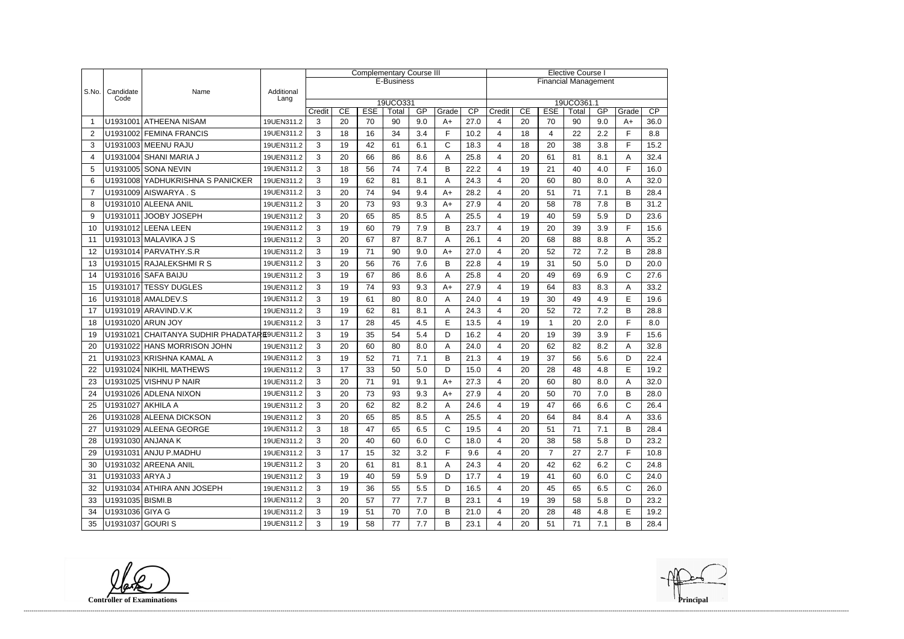|                |                   |                                              |                    |        |                                                                                                                 |    | <b>Complementary Course III</b> |     |              | <b>Elective Course I</b>    |                         |    |                |    |           |              |      |  |
|----------------|-------------------|----------------------------------------------|--------------------|--------|-----------------------------------------------------------------------------------------------------------------|----|---------------------------------|-----|--------------|-----------------------------|-------------------------|----|----------------|----|-----------|--------------|------|--|
|                |                   |                                              |                    |        |                                                                                                                 |    | E-Business                      |     |              | <b>Financial Management</b> |                         |    |                |    |           |              |      |  |
| S.No.          | Candidate<br>Code | Name                                         | Additional<br>Lang |        |                                                                                                                 |    |                                 |     |              |                             |                         |    |                |    |           |              |      |  |
|                |                   |                                              |                    | Credit | 19UCO331<br>19UCO361.1<br>CP<br>CE<br><b>ESE</b><br>GP<br>CE<br><b>ESE</b><br>Grade<br>Credit<br>Total<br>Total |    |                                 |     |              |                             |                         |    |                |    |           | Grade        | CP   |  |
|                |                   | U1931001 ATHEENA NISAM                       | 19UEN311.2         | 3      | 20                                                                                                              | 70 | 90                              | 9.0 | $A+$         | 27.0                        | 4                       | 20 | 70             | 90 | GP<br>9.0 | $A+$         | 36.0 |  |
| $\overline{2}$ |                   | U1931002 FEMINA FRANCIS                      | 19UEN311.2         | 3      | 18                                                                                                              | 16 | 34                              | 3.4 | F            | 10.2                        | 4                       | 18 | 4              | 22 | 2.2       | F            | 8.8  |  |
| 3              |                   | U1931003 MEENU RAJU                          | 19UEN311.2         | 3      | 19                                                                                                              | 42 | 61                              | 6.1 | $\mathsf{C}$ | 18.3                        | 4                       | 18 | 20             | 38 | 3.8       | F            | 15.2 |  |
| $\overline{4}$ |                   | U1931004 SHANI MARIA J                       | 19UEN311.2         | 3      | 20                                                                                                              | 66 | 86                              | 8.6 | Α            | 25.8                        | 4                       | 20 | 61             | 81 | 8.1       | A            | 32.4 |  |
| 5              |                   | U1931005 SONA NEVIN                          | 19UEN311.2         | 3      | 18                                                                                                              | 56 | 74                              | 7.4 | B            | 22.2                        | 4                       | 19 | 21             | 40 | 4.0       | F            | 16.0 |  |
| 6              |                   | U1931008 YADHUKRISHNA S PANICKER             | 19UEN311.2         | 3      | 19                                                                                                              | 62 | 81                              | 8.1 | A            | 24.3                        | 4                       | 20 | 60             | 80 | 8.0       | A            | 32.0 |  |
| $\overline{7}$ |                   | U1931009 AISWARYA.S                          | 19UEN311.2         | 3      | 20                                                                                                              | 74 | 94                              | 9.4 | $A+$         | 28.2                        | $\overline{\mathbf{4}}$ | 20 | 51             | 71 | 7.1       | B            | 28.4 |  |
| 8              |                   | U1931010 ALEENA ANIL                         | 19UEN311.2         | 3      | 20                                                                                                              | 73 | 93                              | 9.3 | $A+$         | 27.9                        | 4                       | 20 | 58             | 78 | 7.8       | B            | 31.2 |  |
| 9              |                   | U1931011 JOOBY JOSEPH                        | 19UEN311.2         | 3      | 20                                                                                                              | 65 | 85                              | 8.5 | Α            | 25.5                        | 4                       | 19 | 40             | 59 | 5.9       | D            | 23.6 |  |
| 10             |                   | U1931012 LEENA LEEN                          | 19UEN311.2         | 3      | 19                                                                                                              | 60 | 79                              | 7.9 | B            | 23.7                        | 4                       | 19 | 20             | 39 | 3.9       | F            | 15.6 |  |
| 11             |                   | U1931013 MALAVIKA J S                        | 19UEN311.2         | 3      | 20                                                                                                              | 67 | 87                              | 8.7 | A            | 26.1                        | 4                       | 20 | 68             | 88 | 8.8       | A            | 35.2 |  |
| 12             |                   | U1931014 PARVATHY.S.R                        | 19UEN311.2         | 3      | 19                                                                                                              | 71 | 90                              | 9.0 | $A+$         | 27.0                        | $\overline{\mathbf{4}}$ | 20 | 52             | 72 | 7.2       | B            | 28.8 |  |
| 13             |                   | U1931015 RAJALEKSHMIRS                       | 19UEN311.2         | 3      | 20                                                                                                              | 56 | 76                              | 7.6 | B            | 22.8                        | 4                       | 19 | 31             | 50 | 5.0       | D            | 20.0 |  |
| 14             |                   | U1931016 SAFA BAIJU                          | 19UEN311.2         | 3      | 19                                                                                                              | 67 | 86                              | 8.6 | Α            | 25.8                        | 4                       | 20 | 49             | 69 | 6.9       | $\mathsf{C}$ | 27.6 |  |
| 15             |                   | U1931017 TESSY DUGLES                        | 19UEN311.2         | 3      | 19                                                                                                              | 74 | 93                              | 9.3 | $A+$         | 27.9                        | 4                       | 19 | 64             | 83 | 8.3       | Α            | 33.2 |  |
| 16             |                   | U1931018 AMALDEV.S                           | 19UEN311.2         | 3      | 19                                                                                                              | 61 | 80                              | 8.0 | A            | 24.0                        | 4                       | 19 | 30             | 49 | 4.9       | E            | 19.6 |  |
| 17             |                   | U1931019 ARAVIND.V.K                         | 19UEN311.2         | 3      | 19                                                                                                              | 62 | 81                              | 8.1 | Α            | 24.3                        | $\overline{\mathbf{4}}$ | 20 | 52             | 72 | 7.2       | B            | 28.8 |  |
| 18             |                   | U1931020 ARUN JOY                            | 19UEN311.2         | 3      | 17                                                                                                              | 28 | 45                              | 4.5 | E            | 13.5                        | 4                       | 19 | 1              | 20 | 2.0       | F            | 8.0  |  |
| 19             |                   | U1931021 CHAITANYA SUDHIR PHADATARE9UEN311.2 |                    | 3      | 19                                                                                                              | 35 | 54                              | 5.4 | D            | 16.2                        | 4                       | 20 | 19             | 39 | 3.9       | F            | 15.6 |  |
| 20             |                   | U1931022 HANS MORRISON JOHN                  | 19UEN311.2         | 3      | 20                                                                                                              | 60 | 80                              | 8.0 | Α            | 24.0                        | 4                       | 20 | 62             | 82 | 8.2       | A            | 32.8 |  |
| 21             |                   | U1931023 KRISHNA KAMAL A                     | 19UEN311.2         | 3      | 19                                                                                                              | 52 | 71                              | 7.1 | B            | 21.3                        | $\overline{\mathbf{4}}$ | 19 | 37             | 56 | 5.6       | D            | 22.4 |  |
| 22             |                   | U1931024 NIKHIL MATHEWS                      | 19UEN311.2         | 3      | 17                                                                                                              | 33 | 50                              | 5.0 | D            | 15.0                        | $\overline{\mathbf{4}}$ | 20 | 28             | 48 | 4.8       | E            | 19.2 |  |
| 23             |                   | U1931025 VISHNU P NAIR                       | 19UEN311.2         | 3      | 20                                                                                                              | 71 | 91                              | 9.1 | $A+$         | 27.3                        | 4                       | 20 | 60             | 80 | 8.0       | A            | 32.0 |  |
| 24             |                   | U1931026 ADLENA NIXON                        | 19UEN311.2         | 3      | 20                                                                                                              | 73 | 93                              | 9.3 | $A+$         | 27.9                        | 4                       | 20 | 50             | 70 | 7.0       | B            | 28.0 |  |
| 25             | U1931027 AKHILA A |                                              | 19UEN311.2         | 3      | 20                                                                                                              | 62 | 82                              | 8.2 | А            | 24.6                        | 4                       | 19 | 47             | 66 | 6.6       | C            | 26.4 |  |
| 26             |                   | U1931028 ALEENA DICKSON                      | 19UEN311.2         | 3      | 20                                                                                                              | 65 | 85                              | 8.5 | A            | 25.5                        | 4                       | 20 | 64             | 84 | 8.4       | A            | 33.6 |  |
| 27             |                   | U1931029 ALEENA GEORGE                       | 19UEN311.2         | 3      | 18                                                                                                              | 47 | 65                              | 6.5 | $\mathsf{C}$ | 19.5                        | 4                       | 20 | 51             | 71 | 7.1       | B            | 28.4 |  |
| 28             |                   | U1931030 ANJANA K                            | 19UEN311.2         | 3      | 20                                                                                                              | 40 | 60                              | 6.0 | $\mathsf{C}$ | 18.0                        | 4                       | 20 | 38             | 58 | 5.8       | D            | 23.2 |  |
| 29             |                   | U1931031 ANJU P.MADHU                        | 19UEN311.2         | 3      | 17                                                                                                              | 15 | 32                              | 3.2 | F            | 9.6                         | 4                       | 20 | $\overline{7}$ | 27 | 2.7       | F            | 10.8 |  |
| 30             |                   | U1931032 AREENA ANIL                         | 19UEN311.2         | 3      | 20                                                                                                              | 61 | 81                              | 8.1 | A            | 24.3                        | 4                       | 20 | 42             | 62 | 6.2       | С            | 24.8 |  |
| 31             | U1931033 ARYA J   |                                              | 19UEN311.2         | 3      | 19                                                                                                              | 40 | 59                              | 5.9 | D            | 17.7                        | 4                       | 19 | 41             | 60 | 6.0       | $\mathsf C$  | 24.0 |  |
| 32             |                   | U1931034 ATHIRA ANN JOSEPH                   | 19UEN311.2         | 3      | 19                                                                                                              | 36 | 55                              | 5.5 | D            | 16.5                        | 4                       | 20 | 45             | 65 | 6.5       | C            | 26.0 |  |
| 33             | U1931035 BISMI.B  |                                              | 19UEN311.2         | 3      | 20                                                                                                              | 57 | 77                              | 7.7 | B            | 23.1                        | 4                       | 19 | 39             | 58 | 5.8       | D            | 23.2 |  |
| 34             | U1931036 GIYA G   |                                              | 19UEN311.2         | 3      | 19                                                                                                              | 51 | 70                              | 7.0 | B            | 21.0                        | 4                       | 20 | 28             | 48 | 4.8       | Е            | 19.2 |  |
| 35             | U1931037 GOURI S  |                                              | 19UEN311.2         | 3      | 19                                                                                                              | 58 | 77                              | 7.7 | B            | 23.1                        | 4                       | 20 | 51             | 71 | 7.1       | В            | 28.4 |  |

**Controller of Examinations Principal**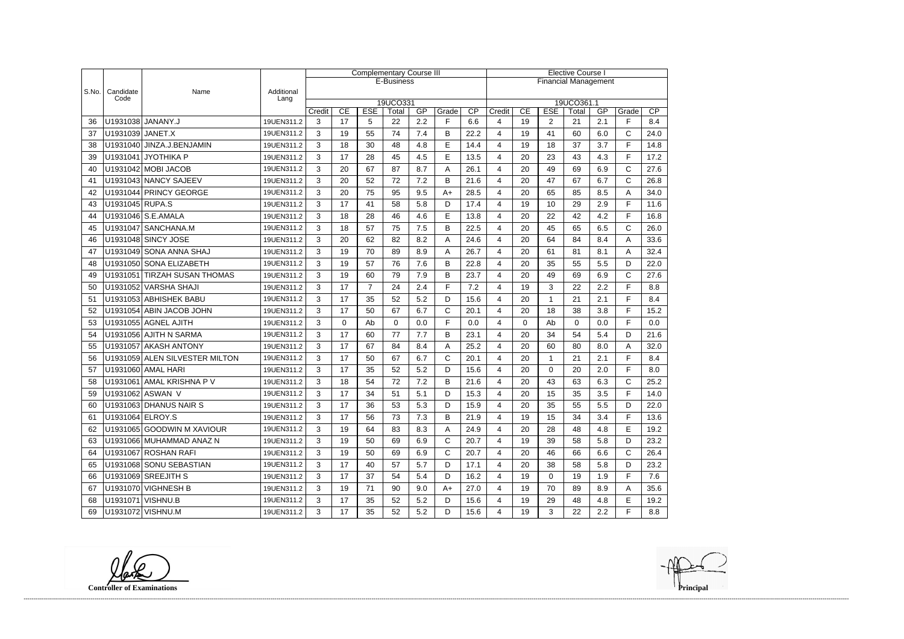|       |                   |                                |                    | <b>Complementary Course III</b> |                                                                                                                       |                |            |     |              |                             |                         | <b>Elective Course I</b> |                |          |     |              |      |  |  |
|-------|-------------------|--------------------------------|--------------------|---------------------------------|-----------------------------------------------------------------------------------------------------------------------|----------------|------------|-----|--------------|-----------------------------|-------------------------|--------------------------|----------------|----------|-----|--------------|------|--|--|
|       |                   |                                |                    |                                 |                                                                                                                       |                | E-Business |     |              | <b>Financial Management</b> |                         |                          |                |          |     |              |      |  |  |
| S.No. | Candidate<br>Code | Name                           | Additional<br>Lang |                                 |                                                                                                                       |                |            |     |              |                             |                         |                          |                |          |     |              |      |  |  |
|       |                   |                                |                    | Credit                          | 19UCO331<br>19UCO361.1<br>CE<br><b>ESE</b><br>GP<br>CP<br>CE<br><b>ESE</b><br>GP<br>Grade<br>Credit<br>Total<br>Total |                |            |     |              |                             |                         |                          |                |          |     | Grade        | CP   |  |  |
| 36    |                   | U1931038 JANANY.J              | 19UEN311.2         | 3                               | 17                                                                                                                    | 5              | 22         | 2.2 | F            | 6.6                         | 4                       | 19                       | $\overline{2}$ | 21       | 2.1 | F            | 8.4  |  |  |
| 37    | U1931039 JANET.X  |                                | 19UEN311.2         | 3                               | 19                                                                                                                    | 55             | 74         | 7.4 | B            | 22.2                        | 4                       | 19                       | 41             | 60       | 6.0 | $\mathsf{C}$ | 24.0 |  |  |
| 38    |                   | U1931040 JINZA.J.BENJAMIN      | 19UEN311.2         | 3                               | 18                                                                                                                    | 30             | 48         | 4.8 | E            | 14.4                        | 4                       | 19                       | 18             | 37       | 3.7 | E            | 14.8 |  |  |
| 39    |                   | U1931041 JYOTHIKA P            | 19UEN311.2         | 3                               | 17                                                                                                                    | 28             | 45         | 4.5 | E            | 13.5                        | 4                       | 20                       | 23             | 43       | 4.3 | F            | 17.2 |  |  |
| 40    |                   | U1931042 MOBI JACOB            | 19UEN311.2         | 3                               | 20                                                                                                                    | 67             | 87         | 8.7 | A            | 26.1                        | 4                       | 20                       | 49             | 69       | 6.9 | $\mathsf{C}$ | 27.6 |  |  |
| 41    |                   | U1931043 NANCY SAJEEV          | 19UEN311.2         | 3                               | 20                                                                                                                    | 52             | 72         | 7.2 | B            | 21.6                        | $\overline{4}$          | 20                       | 47             | 67       | 6.7 | $\mathsf{C}$ | 26.8 |  |  |
| 42    |                   | U1931044 PRINCY GEORGE         | 19UEN311.2         | 3                               | 20                                                                                                                    | 75             | 95         | 9.5 | $A+$         | 28.5                        | 4                       | 20                       | 65             | 85       | 8.5 | A            | 34.0 |  |  |
| 43    | U1931045 RUPA.S   |                                | 19UEN311.2         | 3                               | 17                                                                                                                    | 41             | 58         | 5.8 | D            | 17.4                        | 4                       | 19                       | 10             | 29       | 2.9 | F            | 11.6 |  |  |
| 44    |                   | U1931046 S.E.AMALA             | 19UEN311.2         | 3                               | 18                                                                                                                    | 28             | 46         | 4.6 | E            | 13.8                        | 4                       | 20                       | 22             | 42       | 4.2 | F            | 16.8 |  |  |
| 45    |                   | U1931047 SANCHANA.M            | 19UEN311.2         | 3                               | 18                                                                                                                    | 57             | 75         | 7.5 | B            | 22.5                        | 4                       | 20                       | 45             | 65       | 6.5 | C            | 26.0 |  |  |
| 46    |                   | U1931048 SINCY JOSE            | 19UEN311.2         | 3                               | 20                                                                                                                    | 62             | 82         | 8.2 | A            | 24.6                        | 4                       | 20                       | 64             | 84       | 8.4 | A            | 33.6 |  |  |
| 47    |                   | U1931049 SONA ANNA SHAJ        | 19UEN311.2         | 3                               | 19                                                                                                                    | 70             | 89         | 8.9 | A            | 26.7                        | 4                       | 20                       | 61             | 81       | 8.1 | A            | 32.4 |  |  |
| 48    |                   | U1931050 SONA ELIZABETH        | 19UEN311.2         | 3                               | 19                                                                                                                    | 57             | 76         | 7.6 | B            | 22.8                        | 4                       | 20                       | 35             | 55       | 5.5 | D            | 22.0 |  |  |
| 49    |                   | U1931051 TIRZAH SUSAN THOMAS   | 19UEN311.2         | 3                               | 19                                                                                                                    | 60             | 79         | 7.9 | B            | 23.7                        | 4                       | 20                       | 49             | 69       | 6.9 | $\mathsf{C}$ | 27.6 |  |  |
| 50    |                   | U1931052 VARSHA SHAJI          | 19UEN311.2         | 3                               | 17                                                                                                                    | $\overline{7}$ | 24         | 2.4 | E            | 7.2                         | 4                       | 19                       | 3              | 22       | 2.2 | E            | 8.8  |  |  |
| 51    |                   | U1931053 ABHISHEK BABU         | 19UEN311.2         | 3                               | 17                                                                                                                    | 35             | 52         | 5.2 | D            | 15.6                        | 4                       | 20                       | 1              | 21       | 2.1 | F            | 8.4  |  |  |
| 52    |                   | U1931054 ABIN JACOB JOHN       | 19UEN311.2         | 3                               | 17                                                                                                                    | 50             | 67         | 6.7 | $\mathsf{C}$ | 20.1                        | 4                       | 20                       | 18             | 38       | 3.8 | F            | 15.2 |  |  |
| 53    |                   | U1931055 AGNEL AJITH           | 19UEN311.2         | 3                               | $\Omega$                                                                                                              | Ab             | 0          | 0.0 | E            | 0.0                         | 4                       | $\Omega$                 | Ab             | $\Omega$ | 0.0 | F            | 0.0  |  |  |
| 54    |                   | U1931056 AJITH N SARMA         | 19UEN311.2         | 3                               | 17                                                                                                                    | 60             | 77         | 7.7 | B            | 23.1                        | 4                       | 20                       | 34             | 54       | 5.4 | D            | 21.6 |  |  |
| 55    |                   | U1931057 AKASH ANTONY          | 19UEN311.2         | 3                               | 17                                                                                                                    | 67             | 84         | 8.4 | A            | 25.2                        | 4                       | 20                       | 60             | 80       | 8.0 | A            | 32.0 |  |  |
| 56    |                   | U1931059 ALEN SILVESTER MILTON | 19UEN311.2         | 3                               | 17                                                                                                                    | 50             | 67         | 6.7 | $\mathbf C$  | 20.1                        | 4                       | 20                       | 1              | 21       | 2.1 | F            | 8.4  |  |  |
| 57    |                   | U1931060 AMAL HARI             | 19UEN311.2         | 3                               | 17                                                                                                                    | 35             | 52         | 5.2 | D            | 15.6                        | 4                       | 20                       | 0              | 20       | 2.0 | F            | 8.0  |  |  |
| 58    |                   | U1931061 AMAL KRISHNA P V      | 19UEN311.2         | 3                               | 18                                                                                                                    | 54             | 72         | 7.2 | B            | 21.6                        | 4                       | 20                       | 43             | 63       | 6.3 | $\mathsf{C}$ | 25.2 |  |  |
| 59    |                   | U1931062 ASWAN V               | 19UEN311.2         | 3                               | 17                                                                                                                    | 34             | 51         | 5.1 | D            | 15.3                        | 4                       | 20                       | 15             | 35       | 3.5 | E            | 14.0 |  |  |
| 60    |                   | U1931063 DHANUS NAIR S         | 19UEN311.2         | 3                               | 17                                                                                                                    | 36             | 53         | 5.3 | D            | 15.9                        | 4                       | 20                       | 35             | 55       | 5.5 | D            | 22.0 |  |  |
| 61    | U1931064 ELROY.S  |                                | 19UEN311.2         | 3                               | 17                                                                                                                    | 56             | 73         | 7.3 | B            | 21.9                        | 4                       | 19                       | 15             | 34       | 3.4 | F            | 13.6 |  |  |
| 62    |                   | U1931065 GOODWIN M XAVIOUR     | 19UEN311.2         | 3                               | 19                                                                                                                    | 64             | 83         | 8.3 | A            | 24.9                        | $\overline{\mathbf{4}}$ | 20                       | 28             | 48       | 4.8 | Е            | 19.2 |  |  |
| 63    |                   | U1931066 MUHAMMAD ANAZ N       | 19UEN311.2         | 3                               | 19                                                                                                                    | 50             | 69         | 6.9 | $\mathsf{C}$ | 20.7                        | 4                       | 19                       | 39             | 58       | 5.8 | D            | 23.2 |  |  |
| 64    |                   | U1931067 ROSHAN RAFI           | 19UEN311.2         | 3                               | 19                                                                                                                    | 50             | 69         | 6.9 | $\mathsf{C}$ | 20.7                        | 4                       | 20                       | 46             | 66       | 6.6 | $\mathsf{C}$ | 26.4 |  |  |
| 65    |                   | U1931068 SONU SEBASTIAN        | 19UEN311.2         | 3                               | 17                                                                                                                    | 40             | 57         | 5.7 | D            | 17.1                        | 4                       | 20                       | 38             | 58       | 5.8 | D            | 23.2 |  |  |
| 66    |                   | U1931069 SREEJITH S            | 19UEN311.2         | 3                               | 17                                                                                                                    | 37             | 54         | 5.4 | D            | 16.2                        | 4                       | 19                       | $\mathbf 0$    | 19       | 1.9 | F            | 7.6  |  |  |
| 67    |                   | U1931070 VIGHNESH B            | 19UEN311.2         | 3                               | 19                                                                                                                    | 71             | 90         | 9.0 | $A+$         | 27.0                        | $\overline{\mathbf{4}}$ | 19                       | 70             | 89       | 8.9 | A            | 35.6 |  |  |
| 68    |                   | U1931071 VISHNU.B              | 19UEN311.2         | 3                               | 17                                                                                                                    | 35             | 52         | 5.2 | D            | 15.6                        | 4                       | 19                       | 29             | 48       | 4.8 | E            | 19.2 |  |  |
| 69    |                   | U1931072 VISHNU.M              | 19UEN311.2         | 3                               | 17                                                                                                                    | 35             | 52         | 5.2 | D            | 15.6                        | $\overline{4}$          | 19                       | 3              | 22       | 2.2 | F            | 8.8  |  |  |

**Controller of Examinations** 

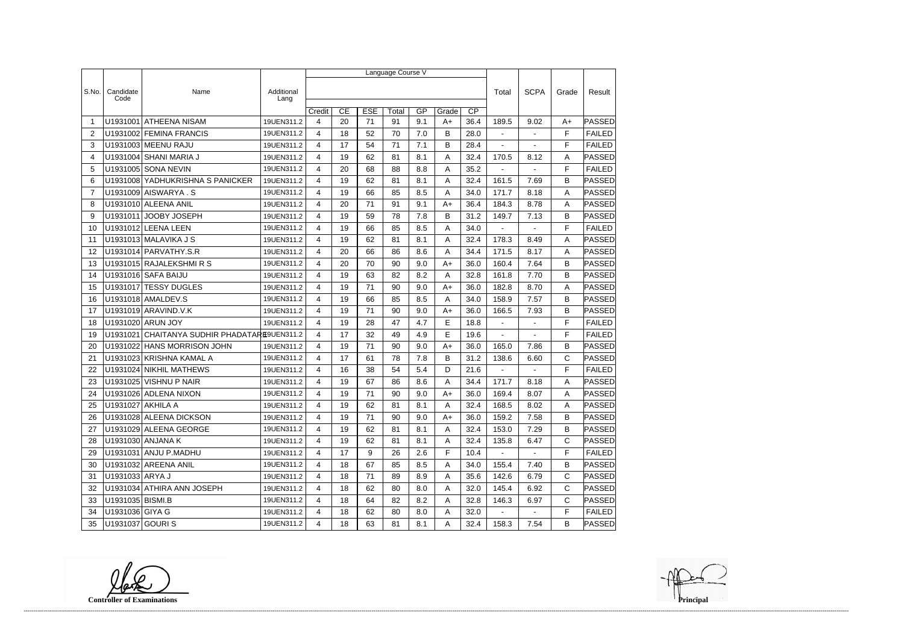|                 |                         |                                     |                    | Language Course V        |    |            |       |     |       |                 |                |                |              |               |
|-----------------|-------------------------|-------------------------------------|--------------------|--------------------------|----|------------|-------|-----|-------|-----------------|----------------|----------------|--------------|---------------|
|                 |                         |                                     |                    |                          |    |            |       |     |       |                 |                |                |              |               |
| S.No.           | Candidate<br>Code       | Name                                | Additional<br>Lang |                          |    |            |       |     |       |                 | Total          | <b>SCPA</b>    | Grade        | Result        |
|                 |                         |                                     |                    | Credit                   | CE | <b>ESE</b> | Total | GP  | Grade | $\overline{CP}$ |                |                |              |               |
| -1              | U1931001                | <b>ATHEENA NISAM</b>                | 19UEN311.2         | $\overline{\mathcal{L}}$ | 20 | 71         | 91    | 9.1 | $A+$  | 36.4            | 189.5          | 9.02           | $A+$         | PASSED        |
| $\overline{2}$  |                         | U1931002 FEMINA FRANCIS             | 19UEN311.2         | 4                        | 18 | 52         | 70    | 7.0 | B     | 28.0            | $\blacksquare$ | $\overline{a}$ | F            | <b>FAILED</b> |
| 3               |                         | U1931003 MEENU RAJU                 | 19UEN311.2         | 4                        | 17 | 54         | 71    | 7.1 | В     | 28.4            | $\blacksquare$ |                | F            | <b>FAILED</b> |
| 4               |                         | U1931004 SHANI MARIA J              | 19UEN311.2         | $\overline{4}$           | 19 | 62         | 81    | 8.1 | Α     | 32.4            | 170.5          | 8.12           | A            | PASSED        |
| 5               |                         | U1931005 SONA NEVIN                 | 19UEN311.2         | 4                        | 20 | 68         | 88    | 8.8 | Α     | 35.2            | $\blacksquare$ | $\blacksquare$ | F            | <b>FAILED</b> |
| 6               |                         | U1931008 YADHUKRISHNA S PANICKER    | 19UEN311.2         | 4                        | 19 | 62         | 81    | 8.1 | Α     | 32.4            | 161.5          | 7.69           | B            | PASSED        |
| $\overline{7}$  |                         | U1931009 AISWARYA.S                 | 19UEN311.2         | 4                        | 19 | 66         | 85    | 8.5 | Α     | 34.0            | 171.7          | 8.18           | A            | <b>PASSED</b> |
| 8               |                         | U1931010 ALEENA ANIL                | 19UEN311.2         | 4                        | 20 | 71         | 91    | 9.1 | A+    | 36.4            | 184.3          | 8.78           | A            | <b>PASSED</b> |
| 9               |                         | U1931011 JOOBY JOSEPH               | 19UEN311.2         | 4                        | 19 | 59         | 78    | 7.8 | B     | 31.2            | 149.7          | 7.13           | B            | PASSED        |
| 10              |                         | U1931012 LEENA LEEN                 | 19UEN311.2         | 4                        | 19 | 66         | 85    | 8.5 | Α     | 34.0            | $\blacksquare$ | $\overline{a}$ | F            | <b>FAILED</b> |
| 11              |                         | U1931013 MALAVIKA J S               | 19UEN311.2         | 4                        | 19 | 62         | 81    | 8.1 | Α     | 32.4            | 178.3          | 8.49           | Α            | PASSED        |
| 12              |                         | U1931014 PARVATHY.S.R               | 19UEN311.2         | 4                        | 20 | 66         | 86    | 8.6 | Α     | 34.4            | 171.5          | 8.17           | A            | <b>PASSED</b> |
| 13              |                         | U1931015 RAJALEKSHMIRS              | 19UEN311.2         | 4                        | 20 | 70         | 90    | 9.0 | $A+$  | 36.0            | 160.4          | 7.64           | B            | <b>PASSED</b> |
| 14              |                         | U1931016 SAFA BAIJU                 | 19UEN311.2         | $\overline{4}$           | 19 | 63         | 82    | 8.2 | А     | 32.8            | 161.8          | 7.70           | B            | PASSED        |
| 15              |                         | U1931017 TESSY DUGLES               | 19UEN311.2         | 4                        | 19 | 71         | 90    | 9.0 | A+    | 36.0            | 182.8          | 8.70           | A            | PASSED        |
| 16              |                         | U1931018 AMALDEV.S                  | 19UEN311.2         | 4                        | 19 | 66         | 85    | 8.5 | Α     | 34.0            | 158.9          | 7.57           | B            | PASSED        |
| 17              |                         | U1931019 ARAVIND.V.K                | 19UEN311.2         | 4                        | 19 | 71         | 90    | 9.0 | A+    | 36.0            | 166.5          | 7.93           | B            | <b>PASSED</b> |
| 18              |                         | U1931020 ARUN JOY                   | 19UEN311.2         | 4                        | 19 | 28         | 47    | 4.7 | E     | 18.8            | $\blacksquare$ | $\blacksquare$ | F            | <b>FAILED</b> |
| 19              | U1931021                | CHAITANYA SUDHIR PHADATARE9UEN311.2 |                    | 4                        | 17 | 32         | 49    | 4.9 | E     | 19.6            |                |                | F            | <b>FAILED</b> |
| 20              | U1931022                | <b>HANS MORRISON JOHN</b>           | 19UEN311.2         | 4                        | 19 | 71         | 90    | 9.0 | $A+$  | 36.0            | 165.0          | 7.86           | B            | PASSED        |
| 21              |                         | U1931023 KRISHNA KAMAL A            | 19UEN311.2         | 4                        | 17 | 61         | 78    | 7.8 | B     | 31.2            | 138.6          | 6.60           | C            | PASSED        |
| 22              |                         | U1931024 NIKHIL MATHEWS             | 19UEN311.2         | 4                        | 16 | 38         | 54    | 5.4 | D     | 21.6            | $\mathbf{r}$   | $\overline{a}$ | F            | <b>FAILED</b> |
| 23              |                         | U1931025 VISHNU P NAIR              | 19UEN311.2         | 4                        | 19 | 67         | 86    | 8.6 | Α     | 34.4            | 171.7          | 8.18           | A            | PASSED        |
| 24              |                         | U1931026 ADLENA NIXON               | 19UEN311.2         | 4                        | 19 | 71         | 90    | 9.0 | $A+$  | 36.0            | 169.4          | 8.07           | A            | PASSED        |
| 25              | U1931027 AKHILA A       |                                     | 19UEN311.2         | 4                        | 19 | 62         | 81    | 8.1 | A     | 32.4            | 168.5          | 8.02           | A            | <b>PASSED</b> |
| 26              |                         | U1931028 ALEENA DICKSON             | 19UEN311.2         | 4                        | 19 | 71         | 90    | 9.0 | A+    | 36.0            | 159.2          | 7.58           | B            | <b>PASSED</b> |
| 27              |                         | U1931029 ALEENA GEORGE              | 19UEN311.2         | 4                        | 19 | 62         | 81    | 8.1 | A     | 32.4            | 153.0          | 7.29           | B            | <b>PASSED</b> |
| 28              |                         | U1931030 ANJANA K                   | 19UEN311.2         | 4                        | 19 | 62         | 81    | 8.1 | A     | 32.4            | 135.8          | 6.47           | C            | <b>PASSED</b> |
| 29              |                         | U1931031 ANJU P.MADHU               | 19UEN311.2         | 4                        | 17 | 9          | 26    | 2.6 | F     | 10.4            | $\sim$         | $\sim$         | F            | <b>FAILED</b> |
| 30              |                         | U1931032 AREENA ANIL                | 19UEN311.2         | 4                        | 18 | 67         | 85    | 8.5 | A     | 34.0            | 155.4          | 7.40           | B            | PASSED        |
| 31              | U1931033   ARYA J       |                                     | 19UEN311.2         | 4                        | 18 | 71         | 89    | 8.9 | A     | 35.6            | 142.6          | 6.79           | $\mathsf{C}$ | <b>PASSED</b> |
| 32 <sup>2</sup> |                         | U1931034 ATHIRA ANN JOSEPH          | 19UEN311.2         | 4                        | 18 | 62         | 80    | 8.0 | Α     | 32.0            | 145.4          | 6.92           | $\mathsf{C}$ | <b>PASSED</b> |
| 33              | U1931035 BISMI.B        |                                     | 19UEN311.2         | 4                        | 18 | 64         | 82    | 8.2 | A     | 32.8            | 146.3          | 6.97           | C            | <b>PASSED</b> |
|                 | 34   U1931036 GIYA G    |                                     | 19UEN311.2         | 4                        | 18 | 62         | 80    | 8.0 | A     | 32.0            | $\sim$         | $\blacksquare$ | F.           | <b>FAILED</b> |
|                 | 35   U1931037   GOURI S |                                     | 19UEN311.2         | $\overline{4}$           | 18 | 63         | 81    | 8.1 | A     | 32.4            | 158.3          | 7.54           | B            | <b>PASSED</b> |

**Controller of Examinations Principal**